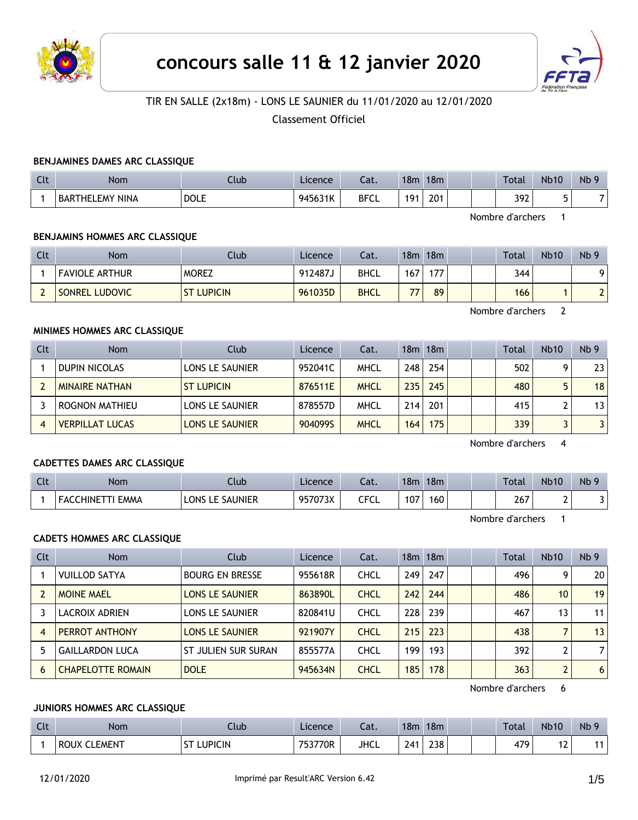



## TIR EN SALLE (2x18m) - LONS LE SAUNIER du 11/01/2020 au 12/01/2020

Classement Officiel

### **BENJAMINES DAMES ARC CLASSIQUE**

| $\sim$<br>นเ | Nom                    | Club        | Licence | $\sim$<br>cal. | 18m               | 18m | <b>Total</b> | <b>Nb10</b>              | N <sub>b</sub> 9 |
|--------------|------------------------|-------------|---------|----------------|-------------------|-----|--------------|--------------------------|------------------|
|              | <b>BARTHELEMY NINA</b> | <b>DOLE</b> | 945631K | <b>BFCL</b>    | 101<br>$\epsilon$ | 201 | 392          | $\overline{\phantom{0}}$ |                  |

Nombre d'archers 1

### **BENJAMINS HOMMES ARC CLASSIQUE**

| Clt | <b>Nom</b>            | Club              | Licence | Cat.        | 18m            | 18m |  | <b>Total</b> | <b>Nb10</b> | Nb <sub>9</sub>          |
|-----|-----------------------|-------------------|---------|-------------|----------------|-----|--|--------------|-------------|--------------------------|
|     | <b>FAVIOLE ARTHUR</b> | <b>MOREZ</b>      | د912487 | <b>BHCL</b> | 167            | 177 |  | 344          |             |                          |
| -   | SONREL LUDOVIC        | <b>ST LUPICIN</b> | 961035D | <b>BHCL</b> | $\overline{ }$ | 89  |  | 166          |             | $\overline{\phantom{0}}$ |

Nombre d'archers 2

## **MINIMES HOMMES ARC CLASSIQUE**

| Clt | <b>Nom</b>             | Club                   | Licence | Cat.        |                  | 18m 18m |  | Total | <b>Nb10</b> | Nb <sub>9</sub> |
|-----|------------------------|------------------------|---------|-------------|------------------|---------|--|-------|-------------|-----------------|
|     | <b>DUPIN NICOLAS</b>   | LONS LE SAUNIER        | 952041C | MHCL        | 248              | 254     |  | 502   |             | 23 <sup>1</sup> |
|     | <b>MINAIRE NATHAN</b>  | <b>ST LUPICIN</b>      | 876511E | <b>MHCL</b> | 235              | 245     |  | 480   |             | 18 <sup>1</sup> |
|     | ROGNON MATHIEU         | LONS LE SAUNIER        | 878557D | MHCL        | 214              | 201     |  | 415   |             | 13 <sup>1</sup> |
|     | <b>VERPILLAT LUCAS</b> | <b>LONS LE SAUNIER</b> | 904099S | <b>MHCL</b> | 164 <sub>1</sub> | 175     |  | 339   |             | 3 <sup>1</sup>  |

Nombre d'archers 4

### **CADETTES DAMES ARC CLASSIQUE**

| Clt | <b>Nom</b>                   | Club               | Licence | Cat.          | 18 <sub>m</sub> | 18m |  | Total | <b>Nb10</b>   | Nb <sub>9</sub> |
|-----|------------------------------|--------------------|---------|---------------|-----------------|-----|--|-------|---------------|-----------------|
|     | _HINE"<br><b>EMMA</b><br>∽AL | E SAUNIER.<br>LONS | 957073X | CECI<br>しし しし | 107             | 160 |  | 267   | -<br><u>.</u> |                 |

Nombre d'archers 1

### **CADETS HOMMES ARC CLASSIQUE**

| <b>Clt</b> | <b>Nom</b>               | Club                   | Licence | Cat.        |     | 18m 18m |  | Total | <b>Nb10</b>     | Nb <sub>9</sub> |
|------------|--------------------------|------------------------|---------|-------------|-----|---------|--|-------|-----------------|-----------------|
|            | <b>VUILLOD SATYA</b>     | <b>BOURG EN BRESSE</b> | 955618R | <b>CHCL</b> | 249 | 247     |  | 496   | 9               | 20              |
|            | <b>MOINE MAEL</b>        | <b>LONS LE SAUNIER</b> | 863890L | <b>CHCL</b> | 242 | 244     |  | 486   | 10 <sup>1</sup> | 19              |
|            | LACROIX ADRIEN           | LONS LE SAUNIER        | 820841U | <b>CHCL</b> | 228 | 239     |  | 467   | 13              | 11              |
| 4          | PERROT ANTHONY           | <b>LONS LE SAUNIER</b> | 921907Y | <b>CHCL</b> | 215 | 223     |  | 438   |                 | 13              |
|            | <b>GAILLARDON LUCA</b>   | ST JULIEN SUR SURAN    | 855577A | <b>CHCL</b> | 199 | 193     |  | 392   |                 | $\overline{7}$  |
| 6          | <b>CHAPELOTTE ROMAIN</b> | <b>DOLE</b>            | 945634N | <b>CHCL</b> | 185 | 178     |  | 363   | $\overline{2}$  | 6               |

Nombre d'archers 6

#### **JUNIORS HOMMES ARC CLASSIQUE**

| $C1+$<br>$-1$ | <b>Nom</b>            | .lub           | Licence | $\sim$<br>-al. | 18 <sub>π</sub> | 18 <sub>m</sub> |  | <b>Total</b> | <b>Nb10</b> | Nb <sub>9</sub> |
|---------------|-----------------------|----------------|---------|----------------|-----------------|-----------------|--|--------------|-------------|-----------------|
|               | <b>ROUX</b><br>LEMENT | <b>LUPICIN</b> | 753770R | <b>JHCL</b>    | 241             | 238             |  | 479          | . <u>.</u>  | 4 A             |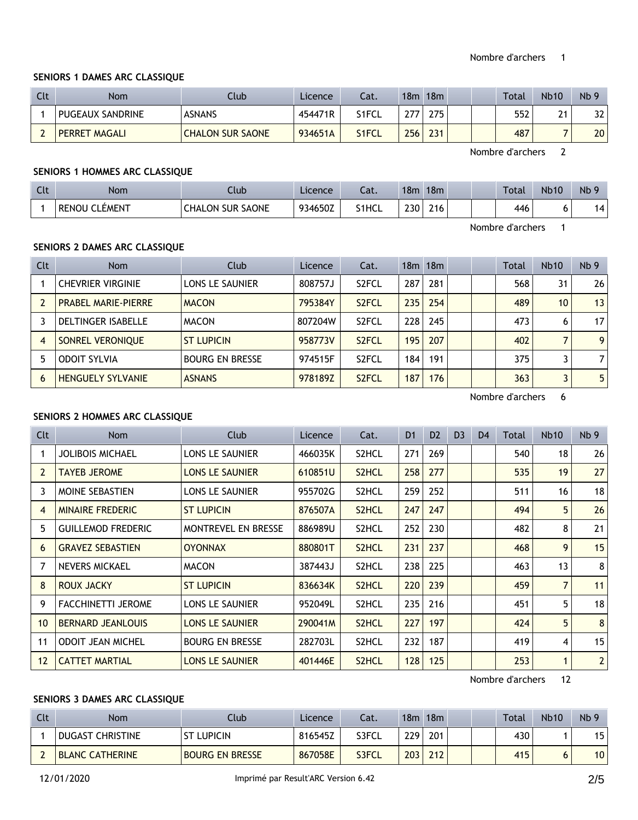### **SENIORS 1 DAMES ARC CLASSIQUE**

| Clt | <b>Nom</b>           | Club                    | Licence | Cat.  | 18m | 18m |  | Total | <b>Nb10</b> | Nb <sub>9</sub> |
|-----|----------------------|-------------------------|---------|-------|-----|-----|--|-------|-------------|-----------------|
|     | PUGEAUX SANDRINE     | <b>ASNANS</b>           | 454471R | S1FCL | 777 | 275 |  | 552   | 21          | 32              |
|     | <b>PERRET MAGALI</b> | <b>CHALON SUR SAONE</b> | 934651A | S1FCL | 256 | 231 |  | 487   |             | 20 <sub>1</sub> |

Nombre d'archers 2

### **SENIORS 1 HOMMES ARC CLASSIQUE**

| $\Gamma$<br><b>CU</b> | <b>Nom</b>                | Ilub                    | Licence | Cat.         | 18 <sub>m</sub> | 18m |  | <b>Total</b> | <b>Nb10</b> | N <sub>b</sub> 9 |
|-----------------------|---------------------------|-------------------------|---------|--------------|-----------------|-----|--|--------------|-------------|------------------|
|                       | <b>RENOU CL</b><br>LÉMENT | <b>CHALON SUR SAONE</b> | 934650Z | <b>S1HCL</b> | 230             | 216 |  | 446          |             | 14.              |

Nombre d'archers 1

## **SENIORS 2 DAMES ARC CLASSIQUE**

| Clt            | <b>Nom</b>                 | Club                   | Licence | Cat.               |     | $18m$ 18 $m$ |  | <b>Total</b> | <b>Nb10</b>     | Nb <sub>9</sub> |
|----------------|----------------------------|------------------------|---------|--------------------|-----|--------------|--|--------------|-----------------|-----------------|
|                | <b>CHEVRIER VIRGINIE</b>   | <b>LONS LE SAUNIER</b> | 808757J | S <sub>2</sub> FCL | 287 | 281          |  | 568          | 31              | 26              |
|                | <b>PRABEL MARIE-PIERRE</b> | <b>MACON</b>           | 795384Y | S <sub>2</sub> FCL | 235 | 254          |  | 489          | 10 <sup>°</sup> | 13              |
|                | <b>DELTINGER ISABELLE</b>  | <b>MACON</b>           | 807204W | S <sub>2</sub> FCL | 228 | 245          |  | 473          | 6               | 17 <sub>1</sub> |
| $\overline{4}$ | SONREL VERONIQUE           | <b>ST LUPICIN</b>      | 958773V | S <sub>2</sub> FCL | 195 | 207          |  | 402          |                 | 9               |
|                | <b>ODOIT SYLVIA</b>        | <b>BOURG EN BRESSE</b> | 974515F | S <sub>2</sub> FCL | 184 | 191          |  | 375          |                 |                 |
| 6              | <b>HENGUELY SYLVANIE</b>   | <b>ASNANS</b>          | 978189Z | S <sub>2</sub> FCL | 187 | 176          |  | 363          |                 | 5               |

Nombre d'archers 6

## **SENIORS 2 HOMMES ARC CLASSIQUE**

| <b>Clt</b>     | Nom                       | Club                   | Licence | Cat.               | D <sub>1</sub> | D <sub>2</sub> | D <sub>3</sub> | D <sub>4</sub> | Total | <b>Nb10</b>    | Nb <sub>9</sub> |
|----------------|---------------------------|------------------------|---------|--------------------|----------------|----------------|----------------|----------------|-------|----------------|-----------------|
|                | <b>JOLIBOIS MICHAEL</b>   | LONS LE SAUNIER        | 466035K | S2HCL              | 271            | 269            |                |                | 540   | 18             | 26              |
| $\overline{2}$ | <b>TAYEB JEROME</b>       | <b>LONS LE SAUNIER</b> | 610851U | S <sub>2</sub> HCL | 258            | 277            |                |                | 535   | 19             | 27              |
| 3              | MOINE SEBASTIEN           | LONS LE SAUNIER        | 955702G | S2HCL              | 259            | 252            |                |                | 511   | 16             | 18              |
| 4              | <b>MINAIRE FREDERIC</b>   | <b>ST LUPICIN</b>      | 876507A | S <sub>2</sub> HCL | 247            | 247            |                |                | 494   | 5              | 26              |
| 5              | <b>GUILLEMOD FREDERIC</b> | MONTREVEL EN BRESSE    | 886989U | S2HCL              | 252            | 230            |                |                | 482   | 8              | 21              |
| 6              | <b>GRAVEZ SEBASTIEN</b>   | <b>OYONNAX</b>         | 880801T | S <sub>2</sub> HCL | 231            | 237            |                |                | 468   | 9              | 15              |
|                | <b>NEVERS MICKAEL</b>     | <b>MACON</b>           | 387443J | S2HCL              | 238            | 225            |                |                | 463   | 13             | 8 <sup>1</sup>  |
| 8              | <b>ROUX JACKY</b>         | <b>ST LUPICIN</b>      | 836634K | S <sub>2</sub> HCL | 220            | 239            |                |                | 459   | $\overline{7}$ | 11              |
| 9              | <b>FACCHINETTI JEROME</b> | LONS LE SAUNIER        | 952049L | S2HCL              | 235            | 216            |                |                | 451   | 5              | 18              |
| 10             | <b>BERNARD JEANLOUIS</b>  | <b>LONS LE SAUNIER</b> | 290041M | S <sub>2</sub> HCL | 227            | 197            |                |                | 424   | 5              | 8 <sup>1</sup>  |
| 11             | <b>ODOIT JEAN MICHEL</b>  | <b>BOURG EN BRESSE</b> | 282703L | S <sub>2</sub> HCL | 232            | 187            |                |                | 419   | $\overline{4}$ | 15              |
| 12             | <b>CATTET MARTIAL</b>     | <b>LONS LE SAUNIER</b> | 401446E | S <sub>2</sub> HCL | 128            | 125            |                |                | 253   | 1              | 2               |

Nombre d'archers 12

## **SENIORS 3 DAMES ARC CLASSIQUE**

| Clt | Nom                    | Club                   | Licence | Cat.  | 18m              | 18m |  | <b>Total</b> | <b>Nb10</b> | Nb <sub>9</sub> |
|-----|------------------------|------------------------|---------|-------|------------------|-----|--|--------------|-------------|-----------------|
|     | DUGAST CHRISTINE       | <b>ST LUPICIN</b>      | 816545Z | S3FCL | 229 <sub>1</sub> | 201 |  | 430          |             | 15              |
|     | <b>BLANC CATHERINE</b> | <b>BOURG EN BRESSE</b> | 867058E | S3FCL | 203              | 212 |  | 415          |             | 10 <sup>1</sup> |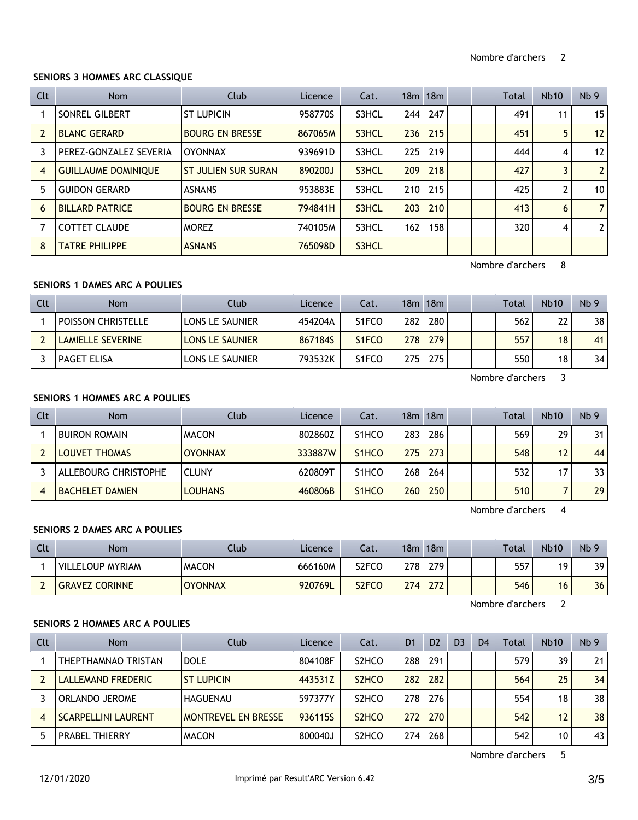## **SENIORS 3 HOMMES ARC CLASSIQUE**

| <b>Clt</b>     | <b>Nom</b>                 | Club                   | Licence | Cat.  |     | $18m$ 18 $m$ |  | <b>Total</b> | <b>Nb10</b> | Nb <sub>9</sub> |
|----------------|----------------------------|------------------------|---------|-------|-----|--------------|--|--------------|-------------|-----------------|
|                | SONREL GILBERT             | <b>ST LUPICIN</b>      | 958770S | S3HCL | 244 | 247          |  | 491          | 11          | 15              |
| $\overline{2}$ | <b>BLANC GERARD</b>        | <b>BOURG EN BRESSE</b> | 867065M | S3HCL | 236 | 215          |  | 451          | 5           | 12              |
|                | PEREZ-GONZALEZ SEVERIA     | <b>OYONNAX</b>         | 939691D | S3HCL | 225 | 219          |  | 444          | 4           | 12              |
| 4              | <b>GUILLAUME DOMINIQUE</b> | ST JULIEN SUR SURAN    | 890200J | S3HCL | 209 | 218          |  | 427          | 3           | 2 <sup>1</sup>  |
| 5              | <b>GUIDON GERARD</b>       | <b>ASNANS</b>          | 953883E | S3HCL | 210 | 215          |  | 425          | 2           | 10 <sup>1</sup> |
| 6              | <b>BILLARD PATRICE</b>     | <b>BOURG EN BRESSE</b> | 794841H | S3HCL | 203 | 210          |  | 413          | 6           | 7 <sup>1</sup>  |
|                | <b>COTTET CLAUDE</b>       | <b>MOREZ</b>           | 740105M | S3HCL | 162 | 158          |  | 320          | 4           | 2 <sup>1</sup>  |
| 8              | <b>TATRE PHILIPPE</b>      | <b>ASNANS</b>          | 765098D | S3HCL |     |              |  |              |             |                 |

Nombre d'archers 8

# **SENIORS 1 DAMES ARC A POULIES**

| Clt | <b>Nom</b>                | Club            | Licence | Cat.                           |         | $18m$ 18 $m$ |  | Total | <b>Nb10</b> | Nb <sub>9</sub> |
|-----|---------------------------|-----------------|---------|--------------------------------|---------|--------------|--|-------|-------------|-----------------|
|     | <b>POISSON CHRISTELLE</b> | LONS LE SAUNIER | 454204A | S <sub>1</sub> FCO             | 282     | 280          |  | 562   | 22          | 38              |
|     | <b>LAMIELLE SEVERINE</b>  | LONS LE SAUNIER | 867184S | S <sub>1</sub> F <sub>CO</sub> | 778     | 279          |  | 557   | 18          | 41              |
|     | PAGET ELISA               | LONS LE SAUNIER | 793532K | S <sub>1</sub> FCO             | $275 +$ | 275          |  | 550   | 18          | 34              |

Nombre d'archers 3

## **SENIORS 1 HOMMES ARC A POULIES**

| Clt | <b>Nom</b>             | Club           | Licence | Cat.               |     | 18m 18m |  | <b>Total</b> | <b>Nb10</b> | Nb <sub>9</sub> |
|-----|------------------------|----------------|---------|--------------------|-----|---------|--|--------------|-------------|-----------------|
|     | <b>BUIRON ROMAIN</b>   | <b>MACON</b>   | 802860Z | S <sub>1</sub> HCO | 283 | 286     |  | 569          | 29          | 31              |
|     | <b>LOUVET THOMAS</b>   | <b>OYONNAX</b> | 333887W | S <sub>1</sub> HCO | 275 | 273     |  | 548          | 12          | 44              |
|     | ALLEBOURG CHRISTOPHE   | <b>CLUNY</b>   | 620809T | S <sub>1</sub> HCO | 268 | 264     |  | 532          |             | 33              |
|     | <b>BACHELET DAMIEN</b> | <b>LOUHANS</b> | 460806B | S <sub>1</sub> HCO | 260 | 250     |  | 510          |             | 29              |

Nombre d'archers 4

## **SENIORS 2 DAMES ARC A POULIES**

| Clt | Nom                     | Club           | Licence | Cat.               | 18m | 18m |  | <b>Total</b> | <b>Nb10</b> | Nb <sub>9</sub> |
|-----|-------------------------|----------------|---------|--------------------|-----|-----|--|--------------|-------------|-----------------|
|     | <b>VILLELOUP MYRIAM</b> | <b>MACON</b>   | 666160M | S2FCO              | 278 | 279 |  | 557          | 1 Q         | 39              |
|     | <b>GRAVEZ CORINNE</b>   | <b>OYONNAX</b> | 920769L | S <sub>2</sub> FCO | 274 | 272 |  | 546          | 16          | 36              |

Nombre d'archers 2

# **SENIORS 2 HOMMES ARC A POULIES**

| Clt | <b>Nom</b>                 | Club                       | Licence | Cat.                           | D <sub>1</sub> | D <sub>2</sub> | D <sub>3</sub> | D <sub>4</sub> | Total | <b>Nb10</b> | Nb <sub>9</sub> |
|-----|----------------------------|----------------------------|---------|--------------------------------|----------------|----------------|----------------|----------------|-------|-------------|-----------------|
|     | THEPTHAMNAO TRISTAN        | <b>DOLE</b>                | 804108F | S <sub>2</sub> HCO             | 288            | 291            |                |                | 579   | 39          | 21              |
|     | LALLEMAND FREDERIC         | <b>ST LUPICIN</b>          | 443531Z | S <sub>2</sub> H <sub>CO</sub> | 282            | 282            |                |                | 564   | 25          | 34              |
|     | ORLANDO JEROME             | HAGUENAU                   | 597377Y | S <sub>2</sub> HCO             | 278            | 276            |                |                | 554   | 18          | 38              |
|     | <b>SCARPELLINI LAURENT</b> | <b>MONTREVEL EN BRESSE</b> | 936115S | S <sub>2</sub> H <sub>CO</sub> | 272            | 270            |                |                | 542   | 12          | 38              |
|     | <b>PRABEL THIERRY</b>      | <b>MACON</b>               | 800040J | S <sub>2</sub> HCO             | 274            | 268            |                |                | 542   | 10          | 43              |

Nombre d'archers 5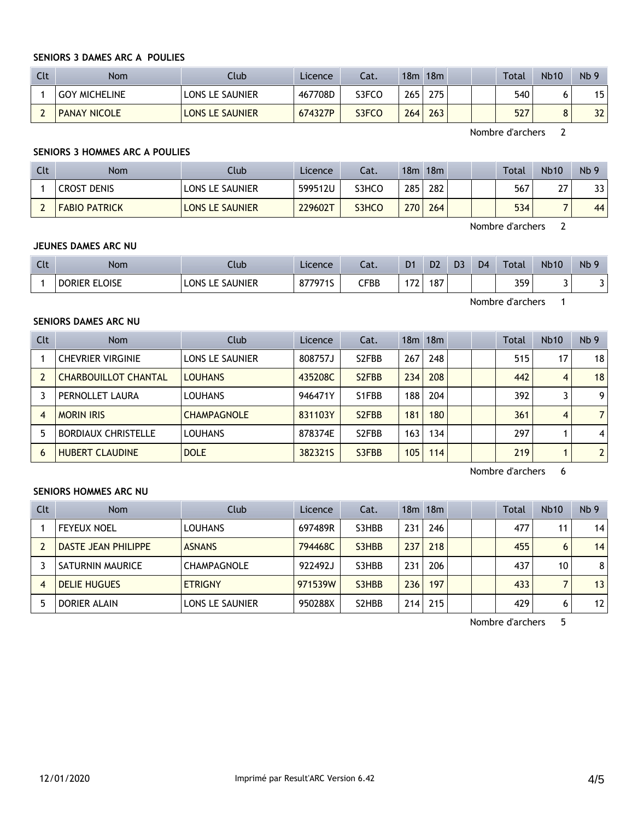### **SENIORS 3 DAMES ARC A POULIES**

| Clt | <b>Nom</b>           | <b>Club</b>            | Licence | Cat.  |     | $18m$ 18 $m$ | <b>Total</b> | <b>Nb10</b> | Nb <sub>9</sub> |
|-----|----------------------|------------------------|---------|-------|-----|--------------|--------------|-------------|-----------------|
|     | <b>GOY MICHELINE</b> | <b>LONS LE SAUNIER</b> | 467708D | S3FCO | 265 | 275          | 540          |             | 15              |
|     | <b>PANAY NICOLE</b>  | <b>LONS LE SAUNIER</b> | 674327P | S3FCO | 264 | 263          | 527          | Ο           | 32              |

Nombre d'archers 2

### **SENIORS 3 HOMMES ARC A POULIES**

| Clt | <b>Nom</b>           | Club                   | Licence | Cat.  | 18m | 18m |  | <b>Total</b> | <b>Nb10</b> | Nb <sub>9</sub> |
|-----|----------------------|------------------------|---------|-------|-----|-----|--|--------------|-------------|-----------------|
|     | <b>CROST DENIS</b>   | <b>LONS LE SAUNIER</b> | 599512U | S3HCO | 285 | 282 |  | 567          | ີ<br>, I    | 33              |
|     | <b>FABIO PATRICK</b> | <b>LONS LE SAUNIER</b> | 229602T | S3HCO | 270 | 264 |  | 534          |             | 44              |

Nombre d'archers 2

Nombre d'archers 1

#### **JEUNES DAMES ARC NU**

| Clt | <b>Nom</b>    | Club               | Licence | Cat.         | D <sub>1</sub>           | D <sub>2</sub> | D <sub>3</sub> | D <sub>4</sub> | <b>Total</b> | <b>Nb10</b> | Nb <sub>9</sub> |
|-----|---------------|--------------------|---------|--------------|--------------------------|----------------|----------------|----------------|--------------|-------------|-----------------|
|     | DORIER ELOISE | LE SAUNIER<br>LONS | 8779719 | ${\sf CFBB}$ | $\overline{\phantom{a}}$ | 187            |                |                | 359          |             | J               |

## **SENIORS DAMES ARC NU**

Clt Nom Club Licence Cat. 18m 18m Total Nb10 Nb 9 1 CHEVRIER VIRGINIE LONS LE SAUNIER 808757J S2FBB 267 248 | 515 17 18 2 CHARBOUILLOT CHANTAL LOUHANS 435208C S2FBB 234 208 442 442 4 18 3 PERNOLLET LAURA LOUHANS | 946471Y S1FBB | 188 | 204 | 392 | 3 | 9 4 MORIN IRIS CHAMPAGNOLE 831103Y S2FBB 181 180 361 4 7 5 BORDIAUX CHRISTELLE LOUHANS 878374E S2FBB 163 134 | 297 1 4 6 HUBERT CLAUDINE DOLE 382321S S3FBB 105 114 219 1 2

Nombre d'archers 6

## **SENIORS HOMMES ARC NU**

| Clt | <b>Nom</b>          | Club               | Licence | Cat.  |     | $18m$ 18 $m$ |  | Total | <b>Nb10</b> | Nb <sub>9</sub> |
|-----|---------------------|--------------------|---------|-------|-----|--------------|--|-------|-------------|-----------------|
|     | <b>FEYEUX NOEL</b>  | <b>LOUHANS</b>     | 697489R | S3HBB | 231 | 246          |  | 477   | 11          | 14              |
|     | DASTE JEAN PHILIPPE | <b>ASNANS</b>      | 794468C | S3HBB | 237 | 218          |  | 455   | 6           | 14              |
|     | SATURNIN MAURICE    | <b>CHAMPAGNOLE</b> | 922492J | S3HBB | 231 | 206          |  | 437   | 10          | 8 <sup>1</sup>  |
|     | <b>DELIE HUGUES</b> | <b>ETRIGNY</b>     | 971539W | S3HBB | 236 | 197          |  | 433   |             | 13              |
|     | DORIER ALAIN        | LONS LE SAUNIER    | 950288X | S2HBB | 214 | 215          |  | 429   | 6           | 12              |

Nombre d'archers 5